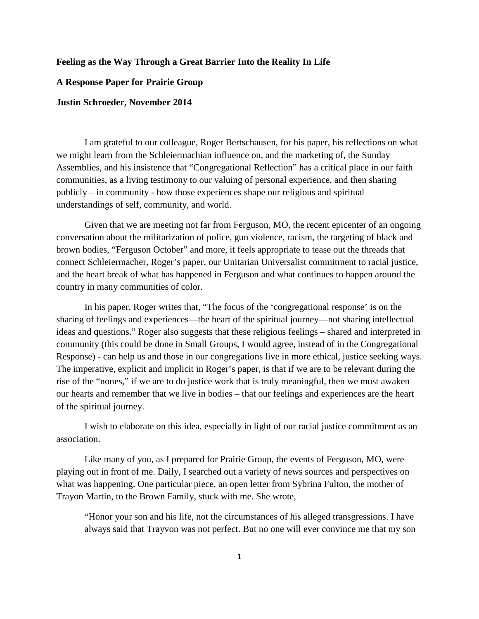## **Feeling as the Way Through a Great Barrier Into the Reality In Life**

## **A Response Paper for Prairie Group**

## **Justin Schroeder, November 2014**

I am grateful to our colleague, Roger Bertschausen, for his paper, his reflections on what we might learn from the Schleiermachian influence on, and the marketing of, the Sunday Assemblies, and his insistence that "Congregational Reflection" has a critical place in our faith communities, as a living testimony to our valuing of personal experience, and then sharing publicly – in community - how those experiences shape our religious and spiritual understandings of self, community, and world.

Given that we are meeting not far from Ferguson, MO, the recent epicenter of an ongoing conversation about the militarization of police, gun violence, racism, the targeting of black and brown bodies, "Ferguson October" and more, it feels appropriate to tease out the threads that connect Schleiermacher, Roger's paper, our Unitarian Universalist commitment to racial justice, and the heart break of what has happened in Ferguson and what continues to happen around the country in many communities of color.

In his paper, Roger writes that, "The focus of the 'congregational response' is on the sharing of feelings and experiences—the heart of the spiritual journey—not sharing intellectual ideas and questions." Roger also suggests that these religious feelings – shared and interpreted in community (this could be done in Small Groups, I would agree, instead of in the Congregational Response) - can help us and those in our congregations live in more ethical, justice seeking ways. The imperative, explicit and implicit in Roger's paper, is that if we are to be relevant during the rise of the "nones," if we are to do justice work that is truly meaningful, then we must awaken our hearts and remember that we live in bodies – that our feelings and experiences are the heart of the spiritual journey.

I wish to elaborate on this idea, especially in light of our racial justice commitment as an association.

Like many of you, as I prepared for Prairie Group, the events of Ferguson, MO, were playing out in front of me. Daily, I searched out a variety of news sources and perspectives on what was happening. One particular piece, an open letter from Sybrina Fulton, the mother of Trayon Martin, to the Brown Family, stuck with me. She wrote,

"Honor your son and his life, not the circumstances of his alleged transgressions. I have always said that Trayvon was not perfect. But no one will ever convince me that my son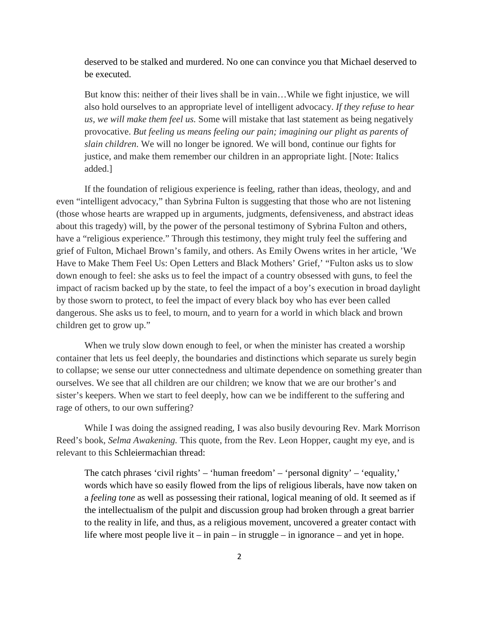deserved to be stalked and murdered. No one can convince you that Michael deserved to be executed.

But know this: neither of their lives shall be in vain…While we fight injustice, we will also hold ourselves to an appropriate level of intelligent advocacy. *If they refuse to hear us, we will make them feel us.* Some will mistake that last statement as being negatively provocative. *But feeling us means feeling our pain; imagining our plight as parents of slain children*. We will no longer be ignored. We will bond, continue our fights for justice, and make them remember our children in an appropriate light. [Note: Italics added.]

If the foundation of religious experience is feeling, rather than ideas, theology, and and even "intelligent advocacy," than Sybrina Fulton is suggesting that those who are not listening (those whose hearts are wrapped up in arguments, judgments, defensiveness, and abstract ideas about this tragedy) will, by the power of the personal testimony of Sybrina Fulton and others, have a "religious experience." Through this testimony, they might truly feel the suffering and grief of Fulton, Michael Brown's family, and others. As Emily Owens writes in her article, 'We Have to Make Them Feel Us: Open Letters and Black Mothers' Grief,' "Fulton asks us to slow down enough to feel: she asks us to feel the impact of a country obsessed with guns, to feel the impact of racism backed up by the state, to feel the impact of a boy's execution in broad daylight by those sworn to protect, to feel the impact of every black boy who has ever been called dangerous. She asks us to feel, to mourn, and to yearn for a world in which black and brown children get to grow up."

When we truly slow down enough to feel, or when the minister has created a worship container that lets us feel deeply, the boundaries and distinctions which separate us surely begin to collapse; we sense our utter connectedness and ultimate dependence on something greater than ourselves. We see that all children are our children; we know that we are our brother's and sister's keepers. When we start to feel deeply, how can we be indifferent to the suffering and rage of others, to our own suffering?

While I was doing the assigned reading, I was also busily devouring Rev. Mark Morrison Reed's book, *Selma Awakening.* This quote, from the Rev. Leon Hopper, caught my eye, and is relevant to this Schleiermachian thread:

The catch phrases 'civil rights' – 'human freedom' – 'personal dignity' – 'equality,' words which have so easily flowed from the lips of religious liberals, have now taken on a *feeling tone* as well as possessing their rational, logical meaning of old. It seemed as if the intellectualism of the pulpit and discussion group had broken through a great barrier to the reality in life, and thus, as a religious movement, uncovered a greater contact with life where most people live it – in pain – in struggle – in ignorance – and yet in hope.